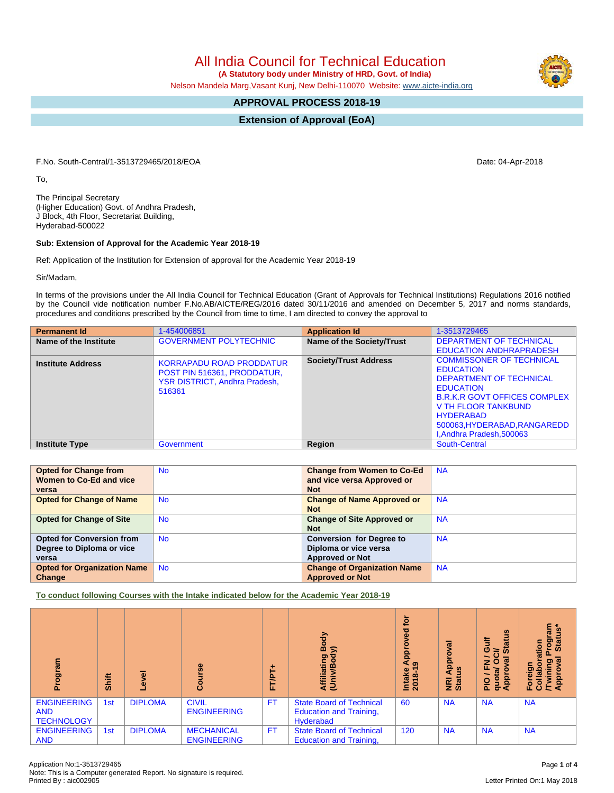## All India Council for Technical Education

 **(A Statutory body under Ministry of HRD, Govt. of India)**

Nelson Mandela Marg,Vasant Kunj, New Delhi-110070 Website: [www.aicte-india.org](http://www.aicte-india.org)

## **APPROVAL PROCESS 2018-19**

**Extension of Approval (EoA)**

F.No. South-Central/1-3513729465/2018/EOA Date: 04-Apr-2018

To,

The Principal Secretary (Higher Education) Govt. of Andhra Pradesh, J Block, 4th Floor, Secretariat Building, Hyderabad-500022

## **Sub: Extension of Approval for the Academic Year 2018-19**

Ref: Application of the Institution for Extension of approval for the Academic Year 2018-19

Sir/Madam,

In terms of the provisions under the All India Council for Technical Education (Grant of Approvals for Technical Institutions) Regulations 2016 notified by the Council vide notification number F.No.AB/AICTE/REG/2016 dated 30/11/2016 and amended on December 5, 2017 and norms standards, procedures and conditions prescribed by the Council from time to time, I am directed to convey the approval to

| <b>Permanent Id</b>      | 1-454006851                                                                                                      | <b>Application Id</b>        | 1-3513729465                                                                                                                                                                                                                                      |
|--------------------------|------------------------------------------------------------------------------------------------------------------|------------------------------|---------------------------------------------------------------------------------------------------------------------------------------------------------------------------------------------------------------------------------------------------|
| Name of the Institute    | <b>GOVERNMENT POLYTECHNIC</b>                                                                                    | Name of the Society/Trust    | <b>DEPARTMENT OF TECHNICAL</b>                                                                                                                                                                                                                    |
|                          |                                                                                                                  |                              | <b>EDUCATION ANDHRAPRADESH</b>                                                                                                                                                                                                                    |
| <b>Institute Address</b> | <b>KORRAPADU ROAD PRODDATUR</b><br>POST PIN 516361, PRODDATUR,<br><b>YSR DISTRICT, Andhra Pradesh,</b><br>516361 | <b>Society/Trust Address</b> | <b>COMMISSONER OF TECHNICAL</b><br><b>EDUCATION</b><br>DEPARTMENT OF TECHNICAL<br><b>EDUCATION</b><br><b>B.R.K.R GOVT OFFICES COMPLEX</b><br>V TH FLOOR TANKBUND<br><b>HYDERABAD</b><br>500063, HYDERABAD, RANGAREDD<br>I, Andhra Pradesh, 500063 |
| <b>Institute Type</b>    | Government                                                                                                       | Region                       | South-Central                                                                                                                                                                                                                                     |

| <b>Opted for Change from</b>       | <b>No</b> | <b>Change from Women to Co-Ed</b>  | <b>NA</b> |
|------------------------------------|-----------|------------------------------------|-----------|
| Women to Co-Ed and vice            |           | and vice versa Approved or         |           |
| versa                              |           | <b>Not</b>                         |           |
| <b>Opted for Change of Name</b>    | <b>No</b> | <b>Change of Name Approved or</b>  | <b>NA</b> |
|                                    |           | <b>Not</b>                         |           |
| <b>Opted for Change of Site</b>    | <b>No</b> | <b>Change of Site Approved or</b>  | <b>NA</b> |
|                                    |           | <b>Not</b>                         |           |
| <b>Opted for Conversion from</b>   | <b>No</b> | <b>Conversion for Degree to</b>    | <b>NA</b> |
| Degree to Diploma or vice          |           | Diploma or vice versa              |           |
| versa                              |           | <b>Approved or Not</b>             |           |
| <b>Opted for Organization Name</b> | <b>No</b> | <b>Change of Organization Name</b> | <b>NA</b> |
| Change                             |           | <b>Approved or Not</b>             |           |

**To conduct following Courses with the Intake indicated below for the Academic Year 2018-19**

| men6o.<br>ō.                                          | Shift | $\overline{\mathbf{c}}$<br>ω | es.<br>ပ္ပြ                             | ۰<br>TALT<br>iı. | Body<br>$\widehat{\phantom{a}}$<br>Affiliating<br>(Univ/Bod <sup>)</sup>       | ā<br>꿈<br>App <sub>a</sub><br>Intake<br>2018-1 | ᢛ<br><b>App</b><br><b>NRI Ap<br/>Status</b> | <b>Status</b><br>ŧ<br>O<br>ਰੋ<br>$\sigma$<br>z<br>œ<br>ц,<br>Approv<br>$\frac{1}{2}$<br>gnp | ន្ទ ក្ល<br>Progr<br><b>Stat</b><br>ation<br>ಸ<br>ဥ္<br>Foreign<br>Collab<br>Approv<br>Approv |
|-------------------------------------------------------|-------|------------------------------|-----------------------------------------|------------------|--------------------------------------------------------------------------------|------------------------------------------------|---------------------------------------------|---------------------------------------------------------------------------------------------|----------------------------------------------------------------------------------------------|
| <b>ENGINEERING</b><br><b>AND</b><br><b>TECHNOLOGY</b> | 1st   | <b>DIPLOMA</b>               | <b>CIVIL</b><br><b>ENGINEERING</b>      | <b>FT</b>        | <b>State Board of Technical</b><br><b>Education and Training,</b><br>Hyderabad | 60                                             | <b>NA</b>                                   | <b>NA</b>                                                                                   | <b>NA</b>                                                                                    |
| <b>ENGINEERING</b><br><b>AND</b>                      | 1st   | <b>DIPLOMA</b>               | <b>MECHANICAL</b><br><b>ENGINEERING</b> | <b>FT</b>        | <b>State Board of Technical</b><br><b>Education and Training,</b>              | 120                                            | <b>NA</b>                                   | <b>NA</b>                                                                                   | <b>NA</b>                                                                                    |

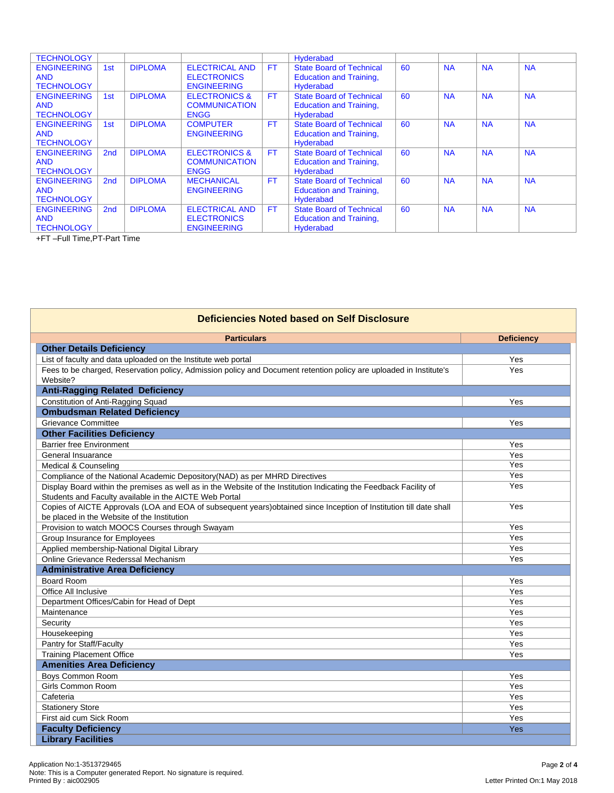| <b>TECHNOLOGY</b>                                     |                 |                |                                                                   |           | Hyderabad                                                                             |    |           |           |           |
|-------------------------------------------------------|-----------------|----------------|-------------------------------------------------------------------|-----------|---------------------------------------------------------------------------------------|----|-----------|-----------|-----------|
| <b>ENGINEERING</b><br><b>AND</b><br><b>TECHNOLOGY</b> | 1st             | <b>DIPLOMA</b> | <b>ELECTRICAL AND</b><br><b>ELECTRONICS</b><br><b>ENGINEERING</b> | <b>FT</b> | <b>State Board of Technical</b><br><b>Education and Training,</b><br><b>Hyderabad</b> | 60 | <b>NA</b> | <b>NA</b> | <b>NA</b> |
| <b>ENGINEERING</b><br><b>AND</b><br><b>TECHNOLOGY</b> | 1 <sub>st</sub> | <b>DIPLOMA</b> | <b>ELECTRONICS &amp;</b><br><b>COMMUNICATION</b><br><b>ENGG</b>   | <b>FT</b> | <b>State Board of Technical</b><br><b>Education and Training,</b><br><b>Hyderabad</b> | 60 | <b>NA</b> | <b>NA</b> | <b>NA</b> |
| <b>ENGINEERING</b><br><b>AND</b><br><b>TECHNOLOGY</b> | 1st             | <b>DIPLOMA</b> | <b>COMPUTER</b><br><b>ENGINEERING</b>                             | <b>FT</b> | <b>State Board of Technical</b><br><b>Education and Training,</b><br><b>Hyderabad</b> | 60 | <b>NA</b> | <b>NA</b> | <b>NA</b> |
| <b>ENGINEERING</b><br><b>AND</b><br><b>TECHNOLOGY</b> | 2 <sub>nd</sub> | <b>DIPLOMA</b> | <b>ELECTRONICS &amp;</b><br><b>COMMUNICATION</b><br><b>ENGG</b>   | <b>FT</b> | <b>State Board of Technical</b><br><b>Education and Training,</b><br><b>Hyderabad</b> | 60 | <b>NA</b> | <b>NA</b> | <b>NA</b> |
| <b>ENGINEERING</b><br><b>AND</b><br><b>TECHNOLOGY</b> | 2 <sub>nd</sub> | <b>DIPLOMA</b> | <b>MECHANICAL</b><br><b>ENGINEERING</b>                           | <b>FT</b> | <b>State Board of Technical</b><br><b>Education and Training,</b><br><b>Hyderabad</b> | 60 | <b>NA</b> | <b>NA</b> | <b>NA</b> |
| <b>ENGINEERING</b><br><b>AND</b><br><b>TECHNOLOGY</b> | 2 <sub>nd</sub> | <b>DIPLOMA</b> | <b>ELECTRICAL AND</b><br><b>ELECTRONICS</b><br><b>ENGINEERING</b> | <b>FT</b> | <b>State Board of Technical</b><br><b>Education and Training,</b><br><b>Hyderabad</b> | 60 | <b>NA</b> | <b>NA</b> | <b>NA</b> |

+FT –Full Time,PT-Part Time

| Deficiencies Noted based on Self Disclosure                                                                        |                   |  |  |  |  |
|--------------------------------------------------------------------------------------------------------------------|-------------------|--|--|--|--|
| <b>Particulars</b>                                                                                                 | <b>Deficiency</b> |  |  |  |  |
| <b>Other Details Deficiency</b>                                                                                    |                   |  |  |  |  |
| List of faculty and data uploaded on the Institute web portal                                                      | Yes               |  |  |  |  |
| Fees to be charged, Reservation policy, Admission policy and Document retention policy are uploaded in Institute's | Yes               |  |  |  |  |
| Website?                                                                                                           |                   |  |  |  |  |
| <b>Anti-Ragging Related Deficiency</b>                                                                             |                   |  |  |  |  |
| Constitution of Anti-Ragging Squad                                                                                 | Yes               |  |  |  |  |
| <b>Ombudsman Related Deficiency</b>                                                                                |                   |  |  |  |  |
| <b>Grievance Committee</b>                                                                                         | Yes               |  |  |  |  |
| <b>Other Facilities Deficiency</b>                                                                                 |                   |  |  |  |  |
| Barrier free Environment                                                                                           | Yes               |  |  |  |  |
| General Insuarance                                                                                                 | Yes               |  |  |  |  |
| Medical & Counseling                                                                                               | Yes               |  |  |  |  |
| Compliance of the National Academic Depository(NAD) as per MHRD Directives                                         | Yes               |  |  |  |  |
| Display Board within the premises as well as in the Website of the Institution Indicating the Feedback Facility of | Yes               |  |  |  |  |
| Students and Faculty available in the AICTE Web Portal                                                             |                   |  |  |  |  |
| Copies of AICTE Approvals (LOA and EOA of subsequent years)obtained since Inception of Institution till date shall | Yes               |  |  |  |  |
| be placed in the Website of the Institution                                                                        |                   |  |  |  |  |
| Provision to watch MOOCS Courses through Swayam                                                                    | Yes               |  |  |  |  |
| Group Insurance for Employees                                                                                      | Yes               |  |  |  |  |
| Applied membership-National Digital Library                                                                        | Yes               |  |  |  |  |
| Online Grievance Rederssal Mechanism                                                                               | Yes               |  |  |  |  |
| <b>Administrative Area Deficiency</b>                                                                              |                   |  |  |  |  |
| <b>Board Room</b>                                                                                                  | Yes               |  |  |  |  |
| Office All Inclusive                                                                                               | Yes               |  |  |  |  |
| Department Offices/Cabin for Head of Dept                                                                          | Yes               |  |  |  |  |
| Maintenance                                                                                                        | Yes               |  |  |  |  |
| Security                                                                                                           | Yes               |  |  |  |  |
| Housekeeping                                                                                                       | Yes               |  |  |  |  |
| Pantry for Staff/Faculty                                                                                           | Yes               |  |  |  |  |
| <b>Training Placement Office</b>                                                                                   | Yes               |  |  |  |  |
| <b>Amenities Area Deficiency</b>                                                                                   |                   |  |  |  |  |
| Boys Common Room                                                                                                   | Yes               |  |  |  |  |
| Girls Common Room                                                                                                  | Yes               |  |  |  |  |
| Cafeteria                                                                                                          | Yes               |  |  |  |  |
| <b>Stationery Store</b>                                                                                            | Yes               |  |  |  |  |
| First aid cum Sick Room                                                                                            | Yes               |  |  |  |  |
| <b>Faculty Deficiency</b>                                                                                          | Yes               |  |  |  |  |
| <b>Library Facilities</b>                                                                                          |                   |  |  |  |  |